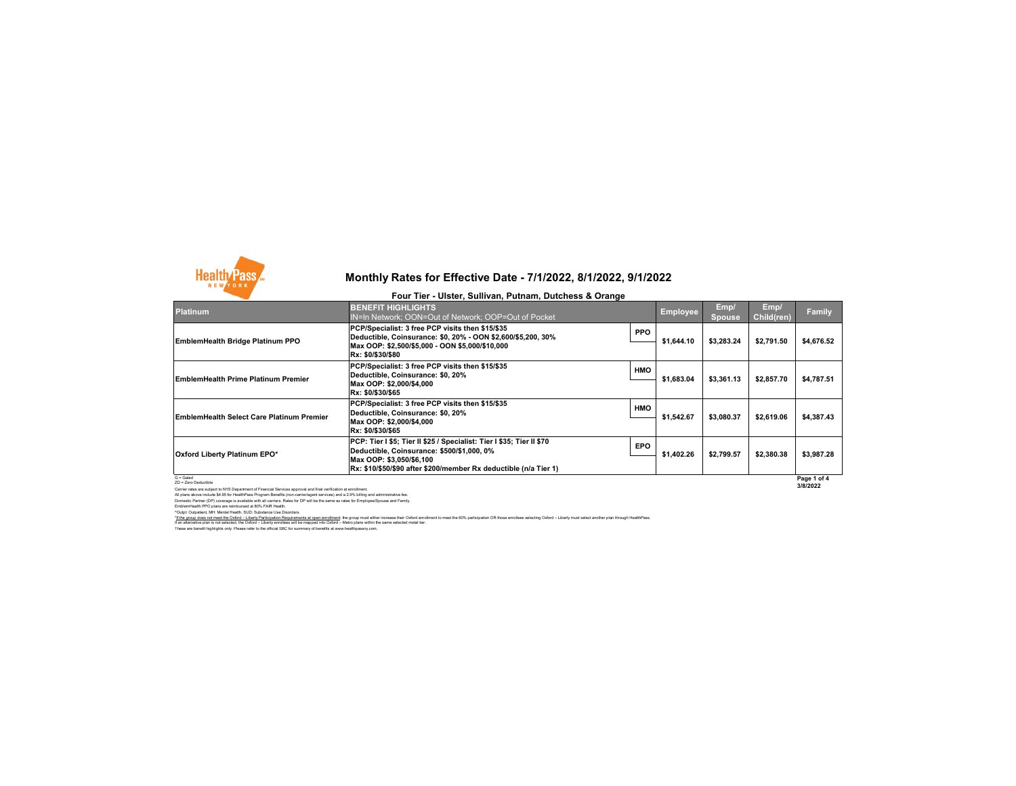

#### **Four Tier - Ulster, Sullivan, Putnam, Dutchess & Orange**

| <b>Platinum</b>                                                                                                                                          | <b>BENEFIT HIGHLIGHTS</b><br>IN=In Network; OON=Out of Network; OOP=Out of Pocket                                                                                                                                   |            | <b>Employee</b> | Emp/<br><b>Spouse</b>   | Emp/<br>Child(ren) | <b>Family</b> |
|----------------------------------------------------------------------------------------------------------------------------------------------------------|---------------------------------------------------------------------------------------------------------------------------------------------------------------------------------------------------------------------|------------|-----------------|-------------------------|--------------------|---------------|
| EmblemHealth Bridge Platinum PPO                                                                                                                         | PCP/Specialist: 3 free PCP visits then \$15/\$35<br>Deductible, Coinsurance: \$0, 20% - OON \$2,600/\$5,200, 30%<br>Max OOP: \$2,500/\$5,000 - OON \$5,000/\$10,000<br>Rx: \$0/\$30/\$80                            | <b>PPO</b> | \$1,644.10      | \$3,283.24              | \$2,791.50         | \$4,676.52    |
| EmblemHealth Prime Platinum Premier                                                                                                                      | PCP/Specialist: 3 free PCP visits then \$15/\$35<br>Deductible, Coinsurance: \$0, 20%<br>Max OOP: \$2,000/\$4,000<br>Rx: \$0/\$30/\$65                                                                              | <b>HMO</b> | \$1.683.04      | \$3.361.13              | \$2,857.70         | \$4,787.51    |
| EmblemHealth Select Care Platinum Premier                                                                                                                | PCP/Specialist: 3 free PCP visits then \$15/\$35<br>Deductible, Coinsurance: \$0, 20%<br>Max OOP: \$2,000/\$4,000<br>Rx: \$0/\$30/\$65                                                                              | <b>HMO</b> | \$1,542.67      | \$3.080.37              | \$2,619.06         | \$4,387.43    |
| Oxford Liberty Platinum EPO*                                                                                                                             | PCP: Tier I \$5; Tier II \$25 / Specialist: Tier I \$35; Tier II \$70<br>Deductible, Coinsurance: \$500/\$1,000, 0%<br>Max OOP: \$3,050/\$6,100<br>Rx: \$10/\$50/\$90 after \$200/member Rx deductible (n/a Tier 1) | <b>EPO</b> | \$1,402.26      | \$2,799.57              | \$2,380.38         | \$3,987.28    |
| $G =$ Gated<br>ZD = Zero Deductible<br>Contractor on collection WIG Considered of Chancel Contractor conservational Contractor of collection of constant |                                                                                                                                                                                                                     |            |                 | Page 1 of 4<br>3/8/2022 |                    |               |

ZD - Zero Decuistie<br>All pians above included to NYS Department of Financial Services approval and final verification at enrollment<br>All pians above included \$4.5 for HealthPass Program Benefits (non-carrientagent services)

"I the group does not meet the Odd'd –Liberty Participation Requirements at open enrolment to he in the time to reast the frorease their Odord – Meta proper met eithin met the 60% participation OR frose enrollees selecting

These are benefit highlights only. Please refer to the official SBC for summary of benefits at www.healthpassny.com.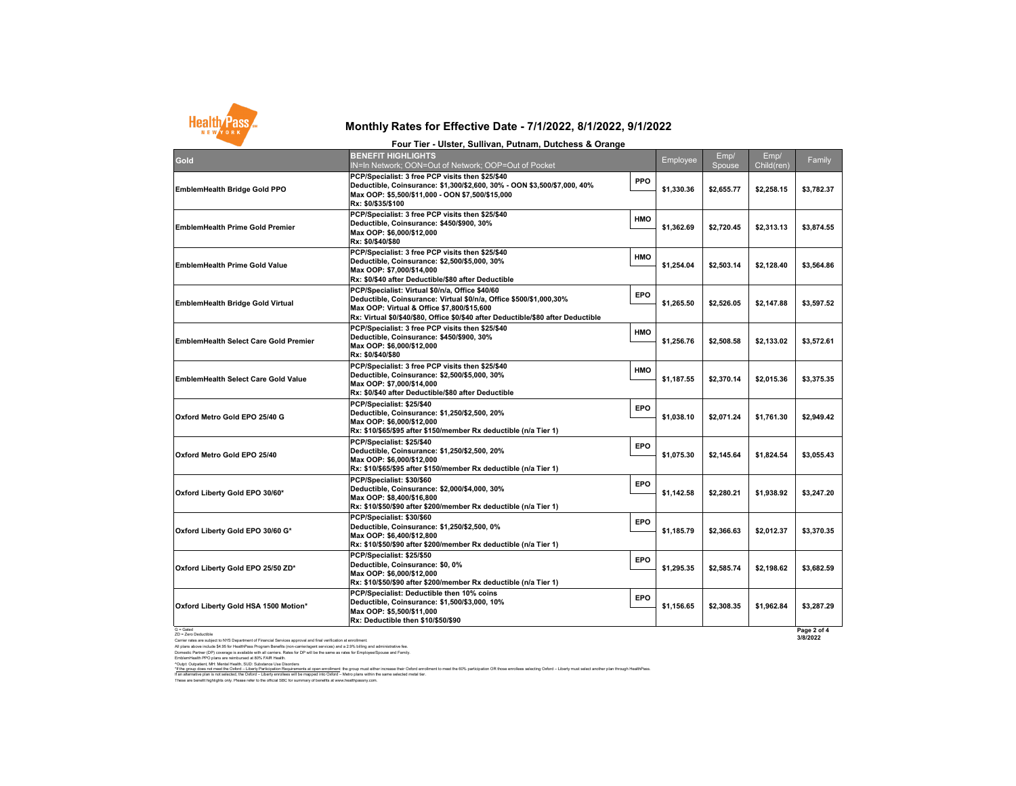

| Four Tier - Ulster, Sullivan, Putnam, Dutchess & Orange |  |
|---------------------------------------------------------|--|
|---------------------------------------------------------|--|

| Gold                                         | <b>BENEFIT HIGHLIGHTS</b><br>IN=In Network; OON=Out of Network; OOP=Out of Pocket                                                                                                                                                                        |            | Employee   | Emp/<br>Spouse | Emp/<br>Child(ren) | Family                  |
|----------------------------------------------|----------------------------------------------------------------------------------------------------------------------------------------------------------------------------------------------------------------------------------------------------------|------------|------------|----------------|--------------------|-------------------------|
| <b>EmblemHealth Bridge Gold PPO</b>          | PCP/Specialist: 3 free PCP visits then \$25/\$40<br>Deductible, Coinsurance: \$1,300/\$2,600, 30% - OON \$3,500/\$7,000, 40%<br>Max OOP: \$5,500/\$11,000 - OON \$7,500/\$15,000<br>Rx: \$0/\$35/\$100                                                   | PPO        | \$1,330.36 | \$2,655.77     | \$2,258.15         | \$3,782.37              |
| <b>EmblemHealth Prime Gold Premier</b>       | PCP/Specialist: 3 free PCP visits then \$25/\$40<br>Deductible, Coinsurance: \$450/\$900, 30%<br>Max OOP: \$6,000/\$12,000<br>Rx: \$0/\$40/\$80                                                                                                          | HMO        | \$1,362.69 | \$2.720.45     | \$2,313.13         | \$3,874.55              |
| <b>EmblemHealth Prime Gold Value</b>         | PCP/Specialist: 3 free PCP visits then \$25/\$40<br>Deductible, Coinsurance: \$2,500/\$5,000, 30%<br>Max OOP: \$7,000/\$14,000<br>Rx: \$0/\$40 after Deductible/\$80 after Deductible                                                                    | HMO        | \$1,254.04 | \$2,503.14     | \$2,128.40         | \$3,564.86              |
| <b>EmblemHealth Bridge Gold Virtual</b>      | PCP/Specialist: Virtual \$0/n/a, Office \$40/60<br>Deductible, Coinsurance: Virtual \$0/n/a, Office \$500/\$1,000,30%<br>Max OOP: Virtual & Office \$7,800/\$15,600<br>Rx: Virtual \$0/\$40/\$80, Office \$0/\$40 after Deductible/\$80 after Deductible | <b>EPO</b> | \$1,265.50 | \$2,526.05     | \$2,147.88         | \$3,597.52              |
| <b>EmblemHealth Select Care Gold Premier</b> | PCP/Specialist: 3 free PCP visits then \$25/\$40<br>Deductible, Coinsurance: \$450/\$900, 30%<br>Max OOP: \$6,000/\$12,000<br>Rx: \$0/\$40/\$80                                                                                                          | HMO        | \$1,256.76 | \$2,508.58     | \$2,133.02         | \$3,572.61              |
| <b>EmblemHealth Select Care Gold Value</b>   | PCP/Specialist: 3 free PCP visits then \$25/\$40<br>Deductible, Coinsurance: \$2,500/\$5,000, 30%<br>Max OOP: \$7,000/\$14,000<br>Rx: \$0/\$40 after Deductible/\$80 after Deductible                                                                    | HMO        | \$1,187.55 | \$2,370.14     | \$2,015.36         | \$3,375.35              |
| Oxford Metro Gold EPO 25/40 G                | PCP/Specialist: \$25/\$40<br>Deductible, Coinsurance: \$1,250/\$2,500, 20%<br>Max OOP: \$6,000/\$12,000<br>Rx: \$10/\$65/\$95 after \$150/member Rx deductible (n/a Tier 1)                                                                              | EPO        | \$1,038.10 | \$2,071.24     | \$1,761.30         | \$2,949.42              |
| Oxford Metro Gold EPO 25/40                  | PCP/Specialist: \$25/\$40<br>Deductible, Coinsurance: \$1,250/\$2,500, 20%<br>Max OOP: \$6,000/\$12,000<br>Rx: \$10/\$65/\$95 after \$150/member Rx deductible (n/a Tier 1)                                                                              | <b>EPO</b> | \$1,075.30 | \$2,145.64     | \$1,824.54         | \$3,055.43              |
| Oxford Liberty Gold EPO 30/60*               | PCP/Specialist: \$30/\$60<br>Deductible, Coinsurance: \$2,000/\$4,000, 30%<br>Max OOP: \$8,400/\$16,800<br>Rx: \$10/\$50/\$90 after \$200/member Rx deductible (n/a Tier 1)                                                                              | EPO        | \$1.142.58 | \$2,280.21     | \$1,938.92         | \$3,247.20              |
| Oxford Liberty Gold EPO 30/60 G*             | PCP/Specialist: \$30/\$60<br>Deductible, Coinsurance: \$1,250/\$2,500, 0%<br>Max OOP: \$6,400/\$12,800<br>Rx: \$10/\$50/\$90 after \$200/member Rx deductible (n/a Tier 1)                                                                               | EPO        | \$1,185.79 | \$2,366.63     | \$2,012.37         | \$3,370.35              |
| Oxford Liberty Gold EPO 25/50 ZD*            | PCP/Specialist: \$25/\$50<br>Deductible, Coinsurance: \$0, 0%<br>Max OOP: \$6,000/\$12,000<br>Rx: \$10/\$50/\$90 after \$200/member Rx deductible (n/a Tier 1)                                                                                           | EPO        | \$1.295.35 | \$2,585.74     | \$2.198.62         | \$3.682.59              |
| Oxford Liberty Gold HSA 1500 Motion*         | PCP/Specialist: Deductible then 10% coins<br>Deductible, Coinsurance: \$1,500/\$3,000, 10%<br>Max OOP: \$5,500/\$11,000<br>Rx: Deductible then \$10/\$50/\$90                                                                                            | <b>EPO</b> | \$1,156.65 | \$2,308.35     | \$1,962.84         | \$3,287.29              |
| $G =$ Gated<br>ZD = Zero Deductible          |                                                                                                                                                                                                                                                          |            |            |                |                    | Page 2 of 4<br>3/8/2022 |

G « Galed<br>20 Hz – Model China (1995)<br>Al partie rates are subject to NYS Department of Financial Services approval and final verification at enrollment.<br>Al partie shows model is 4:05 for Hashbirlato (Way) in Standing for ce

"<u>If he group does not mest the Oxford - Libetty Participation Requiremets at open enrolment; the group must either increase the 'Oxford enrollment to meet the 60% participation OR those enrollees selecting Oxford – Libert</u>

These are benefit highlights only. Please refer to the official SBC for summary of benefits at www.healthpassny.com.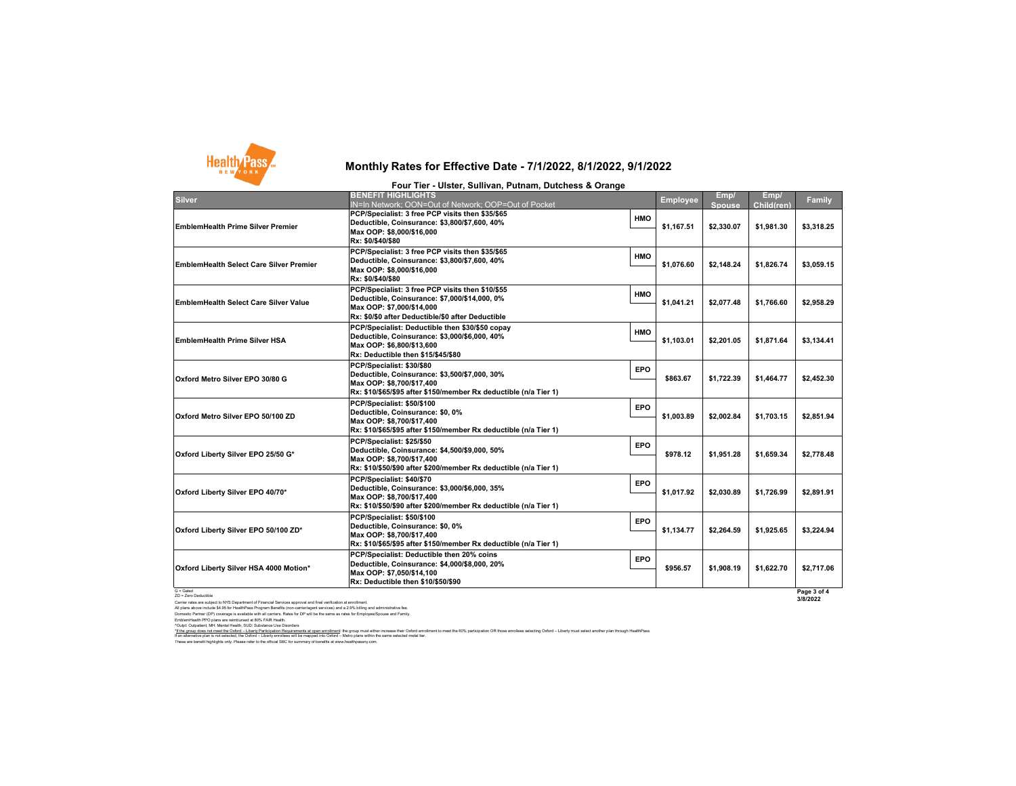

|                                                | Four Tier - Ulster, Sullivan, Putnam, Dutchess & Orange                                                                                                                             |            |                 |                |                    |             |
|------------------------------------------------|-------------------------------------------------------------------------------------------------------------------------------------------------------------------------------------|------------|-----------------|----------------|--------------------|-------------|
| <b>Silver</b>                                  | <b>BENEFIT HIGHLIGHTS</b><br>IN=In Network: OON=Out of Network: OOP=Out of Pocket                                                                                                   |            | <b>Employee</b> | Emp/<br>Spouse | Emp/<br>Child(ren) | Family      |
| <b>EmblemHealth Prime Silver Premier</b>       | PCP/Specialist: 3 free PCP visits then \$35/\$65<br>Deductible, Coinsurance: \$3,800/\$7,600, 40%<br>Max OOP: \$8,000/\$16,000<br>Rx: \$0/\$40/\$80                                 | <b>HMO</b> | \$1,167.51      | \$2,330.07     | \$1,981.30         | \$3,318.25  |
| <b>EmblemHealth Select Care Silver Premier</b> | PCP/Specialist: 3 free PCP visits then \$35/\$65<br>Deductible, Coinsurance: \$3,800/\$7,600, 40%<br>Max OOP: \$8,000/\$16,000<br>Rx: \$0/\$40/\$80                                 | <b>HMO</b> | \$1.076.60      | \$2.148.24     | \$1.826.74         | \$3.059.15  |
| <b>EmblemHealth Select Care Silver Value</b>   | PCP/Specialist: 3 free PCP visits then \$10/\$55<br>Deductible, Coinsurance: \$7,000/\$14,000, 0%<br>Max OOP: \$7,000/\$14,000<br>Rx: \$0/\$0 after Deductible/\$0 after Deductible | <b>HMO</b> | \$1,041.21      | \$2,077.48     | \$1,766.60         | \$2,958.29  |
| <b>EmblemHealth Prime Silver HSA</b>           | PCP/Specialist: Deductible then \$30/\$50 copay<br>Deductible, Coinsurance: \$3,000/\$6,000, 40%<br>Max OOP: \$6,800/\$13,600<br>Rx: Deductible then \$15/\$45/\$80                 | <b>HMO</b> | \$1,103.01      | \$2.201.05     | \$1,871.64         | \$3,134.41  |
| Oxford Metro Silver EPO 30/80 G                | PCP/Specialist: \$30/\$80<br>Deductible, Coinsurance: \$3,500/\$7,000, 30%<br>Max OOP: \$8,700/\$17.400<br>Rx: \$10/\$65/\$95 after \$150/member Rx deductible (n/a Tier 1)         | <b>EPO</b> | \$863.67        | \$1.722.39     | \$1,464.77         | \$2,452.30  |
| Oxford Metro Silver EPO 50/100 ZD              | PCP/Specialist: \$50/\$100<br>Deductible, Coinsurance: \$0, 0%<br>Max OOP: \$8,700/\$17,400<br>Rx: \$10/\$65/\$95 after \$150/member Rx deductible (n/a Tier 1)                     | EPO        | \$1.003.89      | \$2.002.84     | \$1.703.15         | \$2.851.94  |
| Oxford Liberty Silver EPO 25/50 G*             | PCP/Specialist: \$25/\$50<br>Deductible, Coinsurance: \$4,500/\$9,000, 50%<br>Max OOP: \$8,700/\$17.400<br>Rx: \$10/\$50/\$90 after \$200/member Rx deductible (n/a Tier 1)         | EPO        | \$978.12        | \$1.951.28     | \$1.659.34         | \$2,778.48  |
| Oxford Liberty Silver EPO 40/70*               | PCP/Specialist: \$40/\$70<br>Deductible, Coinsurance: \$3,000/\$6,000, 35%<br>Max OOP: \$8,700/\$17,400<br>Rx: \$10/\$50/\$90 after \$200/member Rx deductible (n/a Tier 1)         | <b>EPO</b> | \$1,017.92      | \$2,030.89     | \$1,726.99         | \$2,891.91  |
| Oxford Liberty Silver EPO 50/100 ZD*           | PCP/Specialist: \$50/\$100<br>Deductible, Coinsurance: \$0, 0%<br>Max OOP: \$8,700/\$17,400<br>Rx: \$10/\$65/\$95 after \$150/member Rx deductible (n/a Tier 1)                     | EPO        | \$1,134.77      | \$2.264.59     | \$1,925.65         | \$3,224.94  |
| Oxford Liberty Silver HSA 4000 Motion*         | PCP/Specialist: Deductible then 20% coins<br>Deductible, Coinsurance: \$4,000/\$8,000, 20%<br>Max OOP: \$7,050/\$14,100<br>Rx: Deductible then \$10/\$50/\$90                       | <b>EPO</b> | \$956.57        | \$1.908.19     | \$1.622.70         | \$2,717.06  |
| $G =$ Gated                                    |                                                                                                                                                                                     |            |                 |                |                    | Page 3 of 4 |

G = Galed<br>Carler rates are subject to NYS Department of Financial Services approval and final ventilcation at enrotiment.<br>All plans above include \$4.55 for HealthPass Program Benefits (non-carrieringent services) and a 29%

^Outp: Outpatient, Mrt Mental Health, SUD: Substance Use Disorders<br>"If the group obser on the Mark Participation Requirements at open enrollment; the group must either increase their Oxford ∈metint to meet the 60% partici

These are benefit highlights only. Please refer to the official SBC for summary of benefits at www.healthpassny.com.

**Page 3 of 4 3/8/2022**